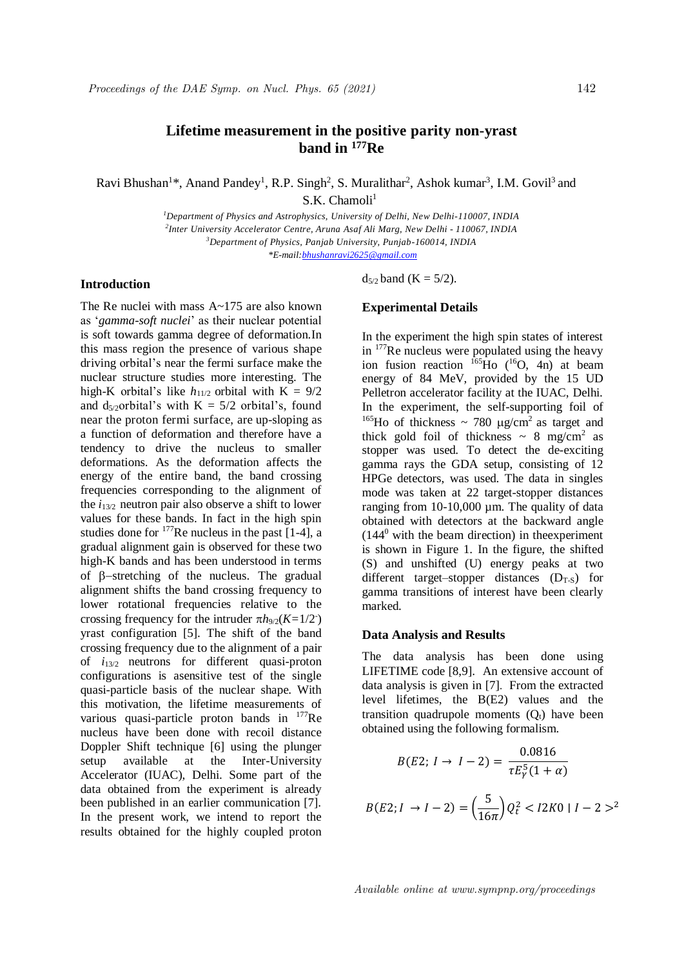Ravi Bhushan<sup>1</sup>\*, Anand Pandey<sup>1</sup>, R.P. Singh<sup>2</sup>, S. Muralithar<sup>2</sup>, Ashok kumar<sup>3</sup>, I.M. Govil<sup>3</sup> and  $S.K.$  Chamoli<sup>1</sup>

> *Department of Physics and Astrophysics, University of Delhi, New Delhi-110007, INDIA Inter University Accelerator Centre, Aruna Asaf Ali Marg, New Delhi - 110067, INDIA Department of Physics, Panjab University, Punjab-160014, INDIA \*E-mail:bhushanravi2625@gmail.com*

# **Introduction**

The Re nuclei with mass A~175 are also known as '*gamma-soft nuclei*' as their nuclear potential is soft towards gamma degree of deformation.In this mass region the presence of various shape driving orbital's near the fermi surface make the nuclear structure studies more interesting. The high-K orbital's like  $h_{11/2}$  orbital with K =  $9/2$ and  $d_{5/2}$ orbital's with  $K = 5/2$  orbital's, found near the proton fermi surface, are up-sloping as a function of deformation and therefore have a tendency to drive the nucleus to smaller deformations. As the deformation affects the energy of the entire band, the band crossing frequencies corresponding to the alignment of the  $i_{13/2}$  neutron pair also observe a shift to lower values for these bands. In fact in the high spin studies done for  $177$ Re nucleus in the past [1-4], a gradual alignment gain is observed for these two high-K bands and has been understood in terms of  $\beta$ -stretching of the nucleus. The gradual alignment shifts the band crossing frequency to lower rotational frequencies relative to the crossing frequency for the intruder  $\pi h_{9/2}(K=1/2^-)$ yrast configuration [5]. The shift of the band crossing frequency due to the alignment of a pair of *i*13/2 neutrons for different quasi-proton configurations is asensitive test of the single quasi-particle basis of the nuclear shape. With this motivation, the lifetime measurements of various quasi-particle proton bands in  $177$ Re nucleus have been done with recoil distance Doppler Shift technique [6] using the plunger setup available at the Inter-University Accelerator (IUAC), Delhi. Some part of the data obtained from the experiment is already been published in an earlier communication [7]. In the present work, we intend to report the results obtained for the highly coupled proton  $d_{5/2}$  band (K = 5/2).

# **Experimental Details**

In the experiment the high spin states of interest in <sup>177</sup>Re nucleus were populated using the heavy ion fusion reaction  $^{165}$ Ho ( $^{16}$ O, 4n) at beam energy of 84 MeV, provided by the 15 UD Pelletron accelerator facility at the IUAC, Delhi. In the experiment, the self-supporting foil of <sup>165</sup>Ho of thickness  $\sim$  780 ug/cm<sup>2</sup> as target and thick gold foil of thickness  $\sim 8$  mg/cm<sup>2</sup> as stopper was used. To detect the de-exciting gamma rays the GDA setup, consisting of 12 HPGe detectors, was used. The data in singles mode was taken at 22 target-stopper distances ranging from  $10-10,000 \mu m$ . The quality of data obtained with detectors at the backward angle  $(144<sup>0</sup>$  with the beam direction) in the experiment is shown in Figure 1. In the figure, the shifted (S) and unshifted (U) energy peaks at two different target–stopper distances  $(D_{T-S})$  for gamma transitions of interest have been clearly marked.

### **Data Analysis and Results**

The data analysis has been done using LIFETIME code [8,9]. An extensive account of data analysis is given in [7]. From the extracted level lifetimes, the B(E2) values and the transition quadrupole moments  $(O_t)$  have been obtained using the following formalism.

$$
B(E2; I \to I - 2) = \frac{0.0816}{\tau E_Y^5 (1 + \alpha)}
$$

$$
B(E2; I \to I - 2) = \left(\frac{5}{16\pi}\right) Q_t^2 < I2K0 \mid I - 2 >^2
$$